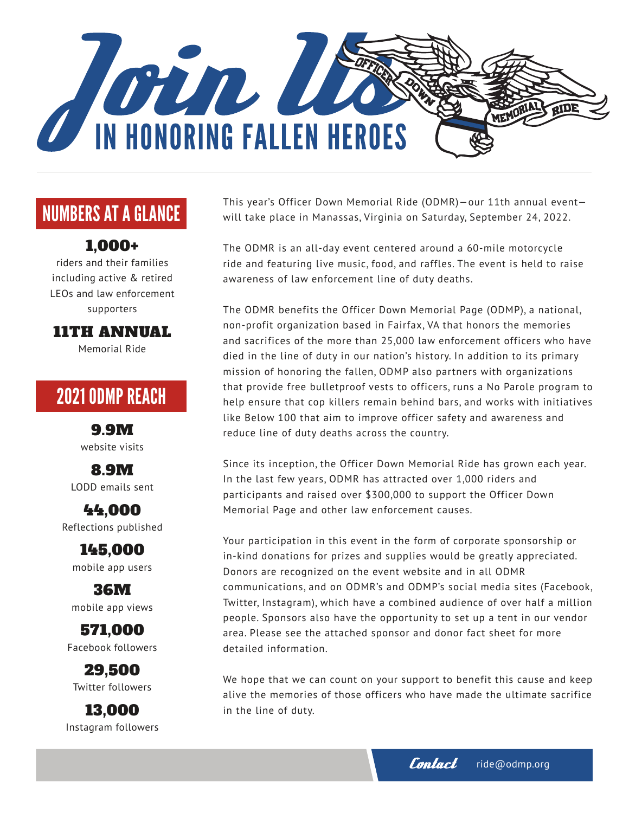

# NUMBERS AT A GLANCE

#### 1,000+

riders and their families including active & retired LEOs and law enforcement supporters

11TH ANNUAL

Memorial Ride

# 2021 ODMP REACH

9.9M website visits

8.9M LODD emails sent

44,000 Reflections published

145,000 mobile app users

36M mobile app views

571,000 Facebook followers

29,500 Twitter followers

13,000 Instagram followers This year's Officer Down Memorial Ride (ODMR)—our 11th annual event will take place in Manassas, Virginia on Saturday, September 24, 2022.

The ODMR is an all-day event centered around a 60-mile motorcycle ride and featuring live music, food, and raffles. The event is held to raise awareness of law enforcement line of duty deaths.

The ODMR benefits the Officer Down Memorial Page (ODMP), a national, non-profit organization based in Fairfax, VA that honors the memories and sacrifices of the more than 25,000 law enforcement officers who have died in the line of duty in our nation's history. In addition to its primary mission of honoring the fallen, ODMP also partners with organizations that provide free bulletproof vests to officers, runs a No Parole program to help ensure that cop killers remain behind bars, and works with initiatives like Below 100 that aim to improve officer safety and awareness and reduce line of duty deaths across the country.

Since its inception, the Officer Down Memorial Ride has grown each year. In the last few years, ODMR has attracted over 1,000 riders and participants and raised over \$300,000 to support the Officer Down Memorial Page and other law enforcement causes.

Your participation in this event in the form of corporate sponsorship or in-kind donations for prizes and supplies would be greatly appreciated. Donors are recognized on the event website and in all ODMR communications, and on ODMR's and ODMP's social media sites (Facebook, Twitter, Instagram), which have a combined audience of over half a million people. Sponsors also have the opportunity to set up a tent in our vendor area. Please see the attached sponsor and donor fact sheet for more detailed information.

We hope that we can count on your support to benefit this cause and keep alive the memories of those officers who have made the ultimate sacrifice in the line of duty.